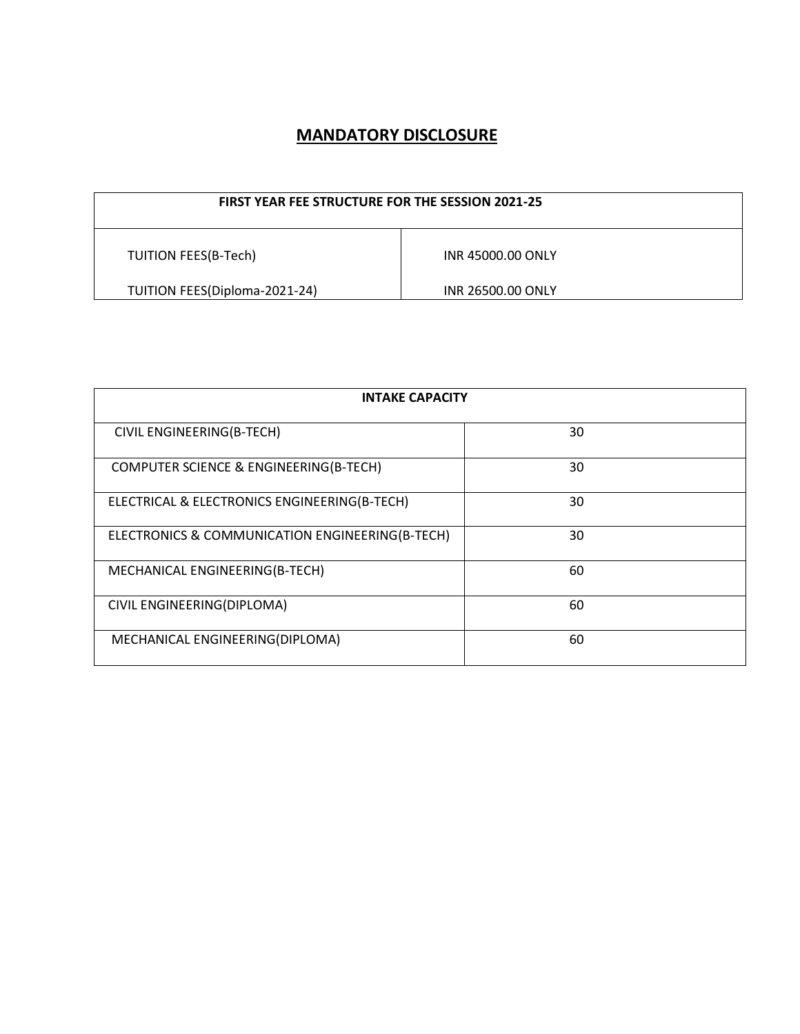## **MANDATORY DISCLOSURE**

| <b>FIRST YEAR FEE STRUCTURE FOR THE SESSION 2021-25</b> |                   |  |
|---------------------------------------------------------|-------------------|--|
| <b>TUITION FEES(B-Tech)</b>                             | INR 45000.00 ONLY |  |
| TUITION FEES(Diploma-2021-24)<br>INR 26500.00 ONLY      |                   |  |

| <b>INTAKE CAPACITY</b>                           |    |  |  |
|--------------------------------------------------|----|--|--|
| CIVIL ENGINEERING(B-TECH)                        | 30 |  |  |
| COMPUTER SCIENCE & ENGINEERING(B-TECH)           | 30 |  |  |
| ELECTRICAL & ELECTRONICS ENGINEERING(B-TECH)     | 30 |  |  |
| ELECTRONICS & COMMUNICATION ENGINEERING (B-TECH) | 30 |  |  |
| MECHANICAL ENGINEERING(B-TECH)                   | 60 |  |  |
| CIVIL ENGINEERING(DIPLOMA)                       | 60 |  |  |
| MECHANICAL ENGINEERING(DIPLOMA)                  | 60 |  |  |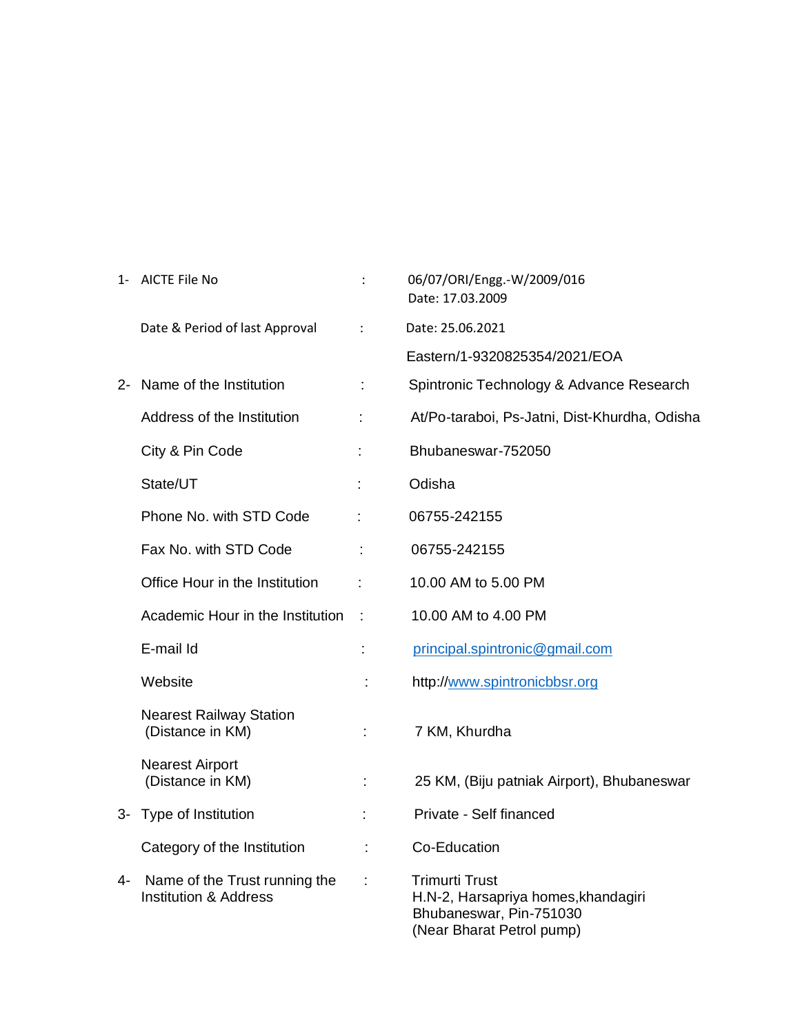|    | 1- AICTE File No                                                  |                | 06/07/ORI/Engg.-W/2009/016<br>Date: 17.03.2009                                                                       |
|----|-------------------------------------------------------------------|----------------|----------------------------------------------------------------------------------------------------------------------|
|    | Date & Period of last Approval                                    | $\ddot{\cdot}$ | Date: 25.06.2021                                                                                                     |
|    |                                                                   |                | Eastern/1-9320825354/2021/EOA                                                                                        |
|    | 2- Name of the Institution                                        |                | Spintronic Technology & Advance Research                                                                             |
|    | Address of the Institution                                        | ÷              | At/Po-taraboi, Ps-Jatni, Dist-Khurdha, Odisha                                                                        |
|    | City & Pin Code                                                   |                | Bhubaneswar-752050                                                                                                   |
|    | State/UT                                                          |                | Odisha                                                                                                               |
|    | Phone No. with STD Code                                           | ÷              | 06755-242155                                                                                                         |
|    | Fax No. with STD Code                                             |                | 06755-242155                                                                                                         |
|    | Office Hour in the Institution                                    | ÷              | 10.00 AM to 5.00 PM                                                                                                  |
|    | Academic Hour in the Institution                                  | $\sim$         | 10.00 AM to 4.00 PM                                                                                                  |
|    | E-mail Id                                                         | ÷              | principal.spintronic@gmail.com                                                                                       |
|    | Website                                                           | t              | http://www.spintronicbbsr.org                                                                                        |
|    | <b>Nearest Railway Station</b><br>(Distance in KM)                |                | 7 KM, Khurdha                                                                                                        |
|    | <b>Nearest Airport</b><br>(Distance in KM)                        |                | 25 KM, (Biju patniak Airport), Bhubaneswar                                                                           |
|    | 3- Type of Institution                                            | ÷              | Private - Self financed                                                                                              |
|    | Category of the Institution                                       | t,             | Co-Education                                                                                                         |
| 4- | Name of the Trust running the<br><b>Institution &amp; Address</b> | ÷              | <b>Trimurti Trust</b><br>H.N-2, Harsapriya homes, khandagiri<br>Bhubaneswar, Pin-751030<br>(Near Bharat Petrol pump) |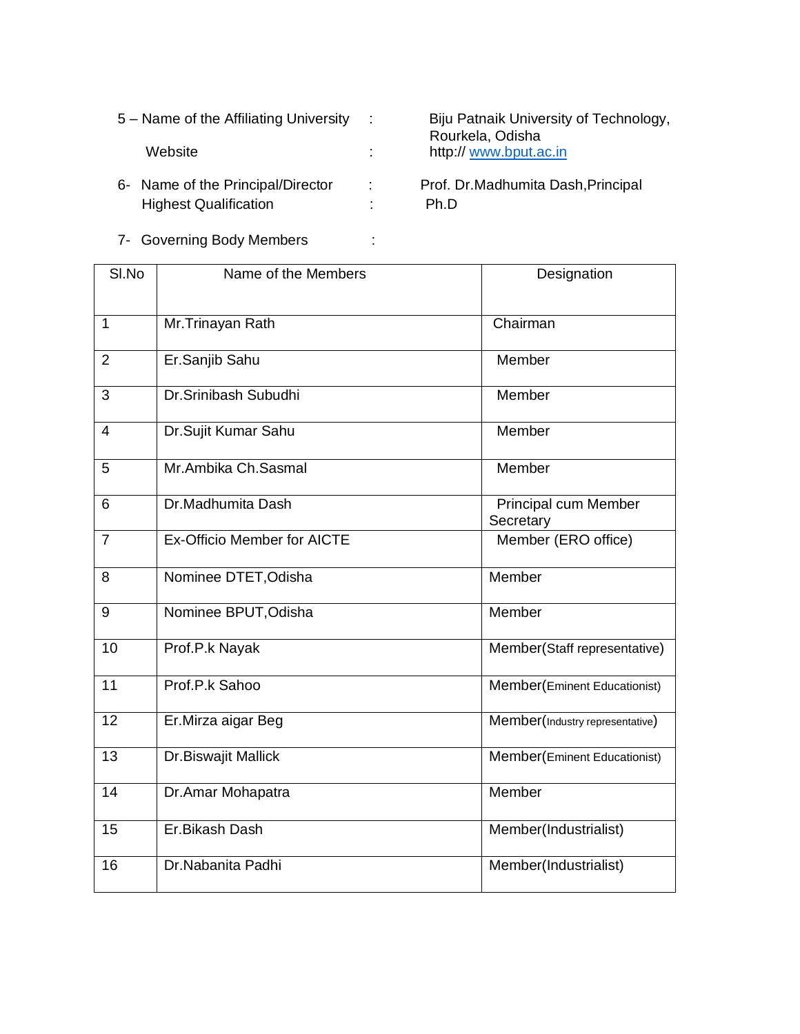6- Name of the Principal/Director : Prof. Dr.Madhumita Dash,Principal Highest Qualification : Ph.D

 5 – Name of the Affiliating University : Biju Patnaik University of Technology, Rourkela, Odisha<br>
Website  $\qquad \qquad \qquad$  :  $\qquad \qquad$  http://www.bput.a http:// [www.bput.ac.in](http://www.bput.ac.in/)

7- Governing Body Members :

| SI.No          | Name of the Members                | Designation                       |
|----------------|------------------------------------|-----------------------------------|
| $\mathbf{1}$   | Mr.Trinayan Rath                   | Chairman                          |
| $\overline{2}$ | Er.Sanjib Sahu                     | Member                            |
| 3              | Dr.Srinibash Subudhi               | Member                            |
| 4              | Dr.Sujit Kumar Sahu                | Member                            |
| 5              | Mr.Ambika Ch.Sasmal                | Member                            |
| 6              | Dr.Madhumita Dash                  | Principal cum Member<br>Secretary |
| $\overline{7}$ | <b>Ex-Officio Member for AICTE</b> | Member (ERO office)               |
| 8              | Nominee DTET, Odisha               | Member                            |
| 9              | Nominee BPUT, Odisha               | Member                            |
| 10             | Prof.P.k Nayak                     | Member(Staff representative)      |
| 11             | Prof.P.k Sahoo                     | Member(Eminent Educationist)      |
| 12             | Er.Mirza aigar Beg                 | Member(Industry representative)   |
| 13             | Dr.Biswajit Mallick                | Member(Eminent Educationist)      |
| 14             | Dr.Amar Mohapatra                  | Member                            |
| 15             | Er.Bikash Dash                     | Member(Industrialist)             |
| 16             | Dr.Nabanita Padhi                  | Member(Industrialist)             |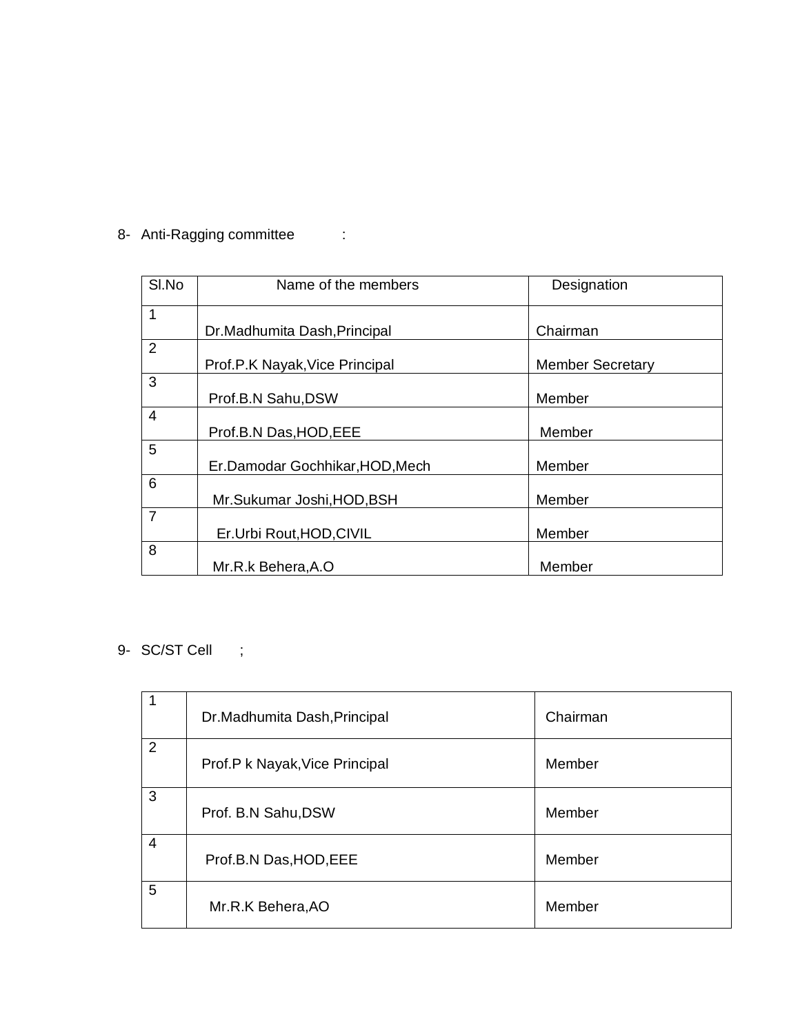|  | 8- Anti-Ragging committee |  |
|--|---------------------------|--|
|--|---------------------------|--|

| SI.No          | Name of the members             | Designation             |
|----------------|---------------------------------|-------------------------|
| $\mathbf{1}$   |                                 |                         |
|                | Dr.Madhumita Dash, Principal    | Chairman                |
| $\overline{2}$ |                                 |                         |
|                | Prof.P.K Nayak, Vice Principal  | <b>Member Secretary</b> |
| 3              |                                 |                         |
|                | Prof.B.N Sahu, DSW              | Member                  |
| $\overline{4}$ |                                 |                         |
|                | Prof.B.N Das, HOD, EEE          | Member                  |
| 5              |                                 |                         |
|                | Er.Damodar Gochhikar, HOD, Mech | Member                  |
| 6              |                                 |                         |
|                | Mr.Sukumar Joshi, HOD, BSH      | Member                  |
| $\overline{7}$ |                                 |                         |
|                | Er.Urbi Rout, HOD, CIVIL        | Member                  |
| 8              |                                 |                         |
|                | Mr.R.k Behera, A.O              | Member                  |

9- SC/ST Cell ;

| 1              | Dr.Madhumita Dash, Principal   | Chairman |
|----------------|--------------------------------|----------|
| $\overline{2}$ | Prof.P k Nayak, Vice Principal | Member   |
| 3              | Prof. B.N Sahu, DSW            | Member   |
| $\overline{4}$ | Prof.B.N Das, HOD, EEE         | Member   |
| 5              | Mr.R.K Behera, AO              | Member   |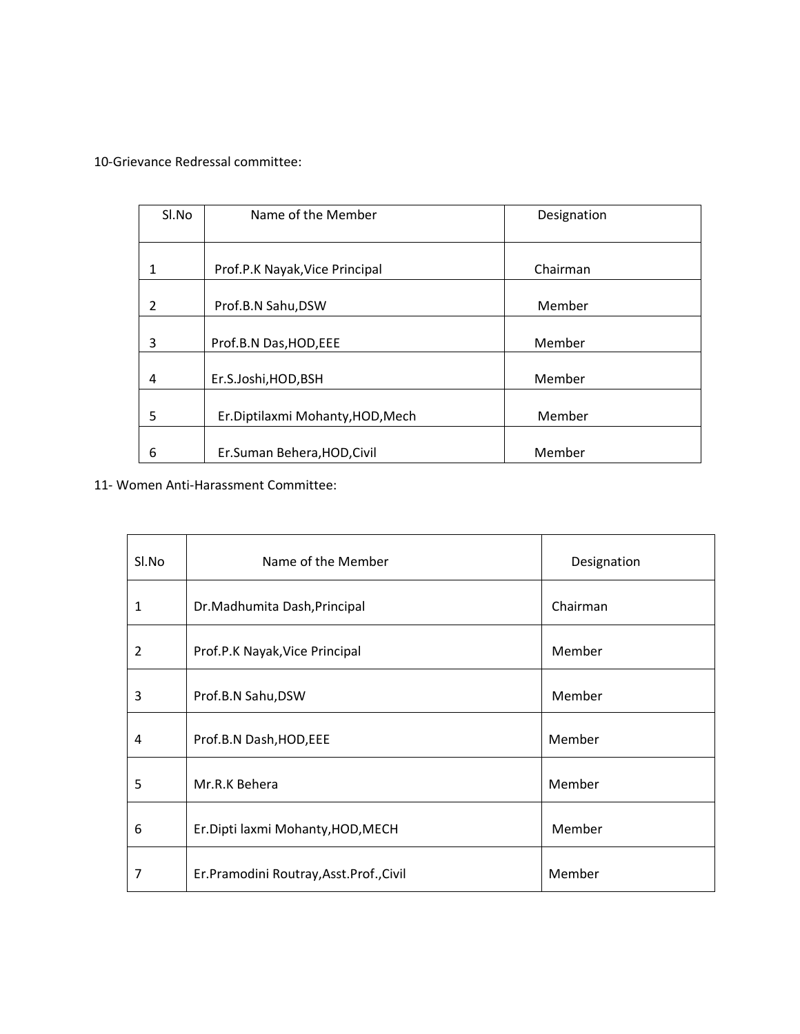10-Grievance Redressal committee:

| Sl.No | Name of the Member               | Designation |
|-------|----------------------------------|-------------|
|       |                                  |             |
|       |                                  |             |
|       |                                  |             |
|       | Prof.P.K Nayak, Vice Principal   | Chairman    |
|       |                                  |             |
|       |                                  |             |
| 2     | Prof.B.N Sahu,DSW                | Member      |
|       |                                  |             |
| 3     | Prof.B.N Das, HOD, EEE           | Member      |
|       |                                  |             |
|       |                                  |             |
| 4     | Er.S.Joshi, HOD, BSH             | Member      |
|       |                                  |             |
| 5     |                                  | Member      |
|       | Er.Diptilaxmi Mohanty, HOD, Mech |             |
|       |                                  |             |
| 6     | Er.Suman Behera, HOD, Civil      | Member      |
|       |                                  |             |

11- Women Anti-Harassment Committee:

| Sl.No          | Name of the Member                      | Designation |
|----------------|-----------------------------------------|-------------|
| 1              | Dr.Madhumita Dash, Principal            | Chairman    |
| $\overline{2}$ | Prof.P.K Nayak, Vice Principal          | Member      |
| 3              | Prof.B.N Sahu, DSW                      | Member      |
| 4              | Prof.B.N Dash, HOD, EEE                 | Member      |
| 5              | Mr.R.K Behera                           | Member      |
| 6              | Er.Dipti laxmi Mohanty, HOD, MECH       | Member      |
| 7              | Er.Pramodini Routray, Asst.Prof., Civil | Member      |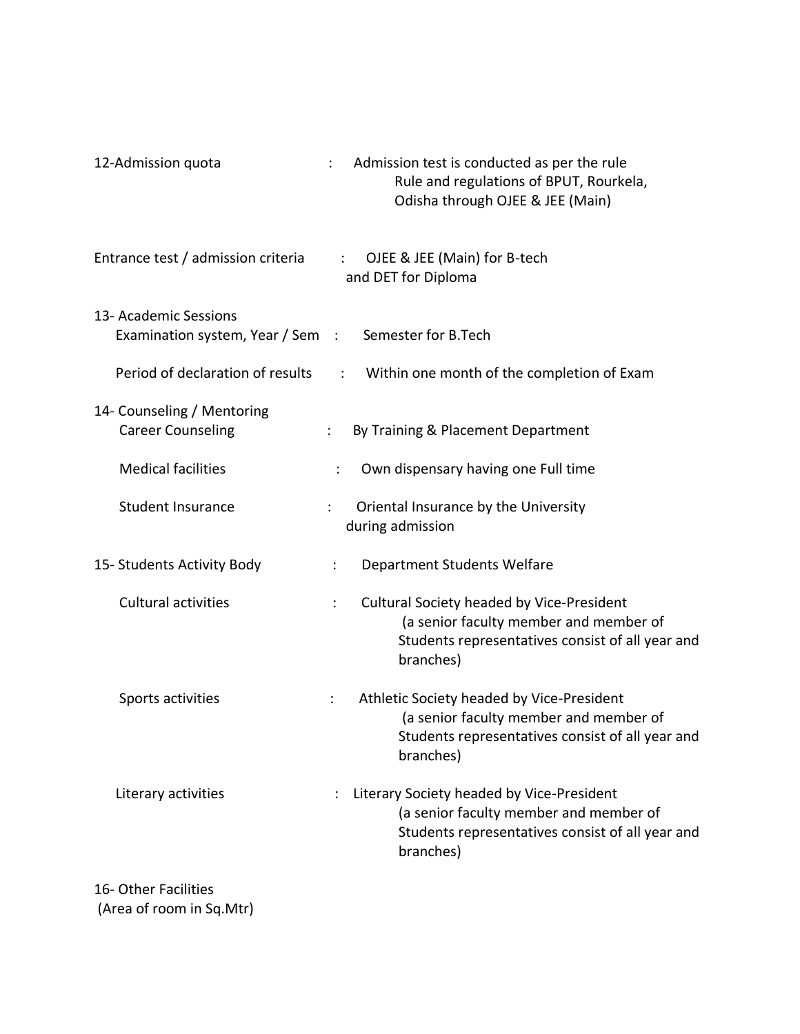| 12-Admission quota                                                            | Admission test is conducted as per the rule<br>Rule and regulations of BPUT, Rourkela,<br>Odisha through OJEE & JEE (Main)                                |
|-------------------------------------------------------------------------------|-----------------------------------------------------------------------------------------------------------------------------------------------------------|
| Entrance test / admission criteria                                            | OJEE & JEE (Main) for B-tech<br>$\mathcal{L}$<br>and DET for Diploma                                                                                      |
| 13- Academic Sessions<br>Examination system, Year / Sem : Semester for B.Tech |                                                                                                                                                           |
| Period of declaration of results                                              | Within one month of the completion of Exam<br>$\frac{1}{2}$ , $\frac{1}{2}$                                                                               |
| 14- Counseling / Mentoring<br><b>Career Counseling</b>                        | By Training & Placement Department                                                                                                                        |
| <b>Medical facilities</b>                                                     | Own dispensary having one Full time<br>÷                                                                                                                  |
| <b>Student Insurance</b>                                                      | Oriental Insurance by the University<br>during admission                                                                                                  |
| 15- Students Activity Body                                                    | Department Students Welfare<br>÷                                                                                                                          |
| <b>Cultural activities</b>                                                    | Cultural Society headed by Vice-President<br>÷<br>(a senior faculty member and member of<br>Students representatives consist of all year and<br>branches) |
| Sports activities                                                             | Athletic Society headed by Vice-President<br>÷<br>(a senior faculty member and member of<br>Students representatives consist of all year and<br>branches) |
| Literary activities                                                           | Literary Society headed by Vice-President<br>(a senior faculty member and member of<br>Students representatives consist of all year and<br>branches)      |

16- Other Facilities (Area of room in Sq.Mtr)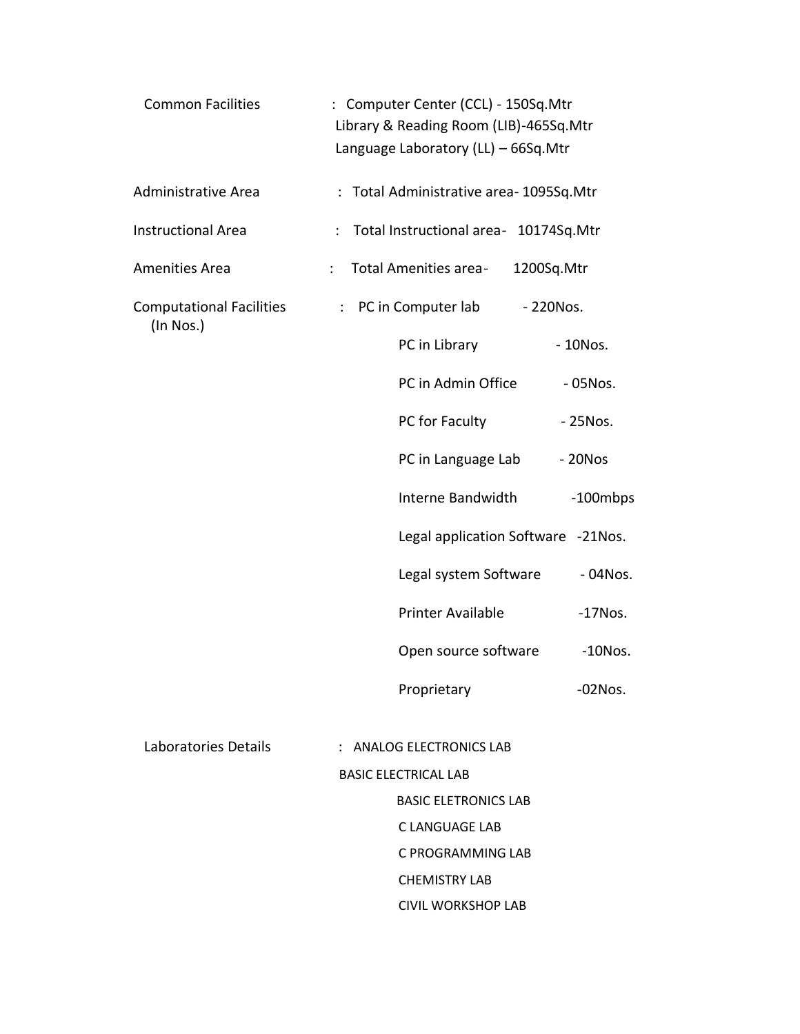| <b>Common Facilities</b>        |                      |                             | : Computer Center (CCL) - 150Sq.Mtr<br>Library & Reading Room (LIB)-465Sq.Mtr<br>Language Laboratory (LL) - 66Sq.Mtr |            |            |  |
|---------------------------------|----------------------|-----------------------------|----------------------------------------------------------------------------------------------------------------------|------------|------------|--|
| Administrative Area             |                      |                             | : Total Administrative area-1095Sq.Mtr                                                                               |            |            |  |
| <b>Instructional Area</b>       | $\ddot{\phantom{a}}$ |                             | Total Instructional area- 10174Sq.Mtr                                                                                |            |            |  |
| Amenities Area                  | $\ddot{\phantom{a}}$ |                             | Total Amenities area-                                                                                                | 1200Sq.Mtr |            |  |
| <b>Computational Facilities</b> |                      | $\ddot{\cdot}$              | PC in Computer lab                                                                                                   | - 220Nos.  |            |  |
| (In Nos.)                       |                      |                             | PC in Library                                                                                                        |            | $-10N$ os. |  |
|                                 |                      |                             | PC in Admin Office                                                                                                   |            | - 05Nos.   |  |
|                                 |                      |                             | PC for Faculty                                                                                                       |            | - 25Nos.   |  |
|                                 |                      |                             | PC in Language Lab                                                                                                   |            | $-20Nos$   |  |
|                                 |                      |                             | Interne Bandwidth                                                                                                    |            | -100mbps   |  |
|                                 |                      |                             | Legal application Software -21Nos.                                                                                   |            |            |  |
|                                 |                      |                             | Legal system Software                                                                                                |            | $-04N$ os. |  |
|                                 |                      |                             | Printer Available                                                                                                    |            | $-17N$ os. |  |
|                                 |                      |                             | Open source software                                                                                                 |            | $-10N$ os. |  |
|                                 |                      |                             | Proprietary                                                                                                          |            | $-02N$ os. |  |
|                                 |                      |                             |                                                                                                                      |            |            |  |
| Laboratories Details            |                      |                             | : ANALOG ELECTRONICS LAB                                                                                             |            |            |  |
|                                 |                      | <b>BASIC ELECTRICAL LAB</b> |                                                                                                                      |            |            |  |
|                                 |                      |                             | <b>BASIC ELETRONICS LAB</b><br>C LANGUAGE LAB                                                                        |            |            |  |
|                                 |                      |                             | C PROGRAMMING LAB                                                                                                    |            |            |  |
|                                 |                      |                             | <b>CHEMISTRY LAB</b>                                                                                                 |            |            |  |
|                                 |                      |                             | <b>CIVIL WORKSHOP LAB</b>                                                                                            |            |            |  |
|                                 |                      |                             |                                                                                                                      |            |            |  |